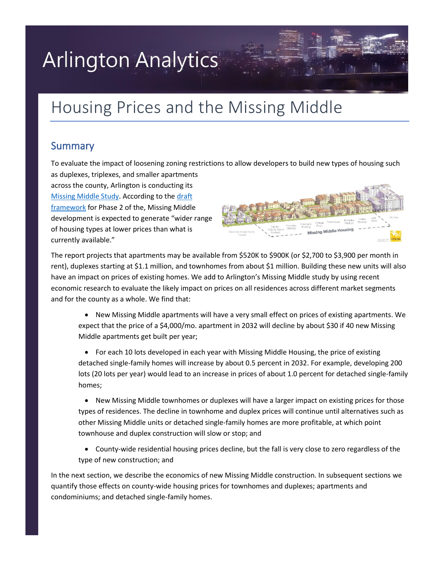# **Arlington Analytics**

## Housing Prices and the Missing Middle

## Summary

To evaluate the impact of loosening zoning restrictions to allow developers to build new types of housing such as duplexes, triplexes, and smaller apartments

across the county, Arlington is conducting its [Missing Middle Study.](https://www.arlingtonva.us/Government/Programs/Housing/Housing-Arlington/Tools/Missing-Middle) According to th[e draft](https://www.arlingtonva.us/files/sharedassets/public/housing/documents/missing-middle/mmhs-phase-2-public-presentation_final_04.28.pdf)  [framework](https://www.arlingtonva.us/files/sharedassets/public/housing/documents/missing-middle/mmhs-phase-2-public-presentation_final_04.28.pdf) for Phase 2 of the, Missing Middle development is expected to generate "wider range of housing types at lower prices than what is currently available."



The report projects that apartments may be available from \$520K to \$900K (or \$2,700 to \$3,900 per month in rent), duplexes starting at \$1.1 million, and townhomes from about \$1 million. Building these new units will also have an impact on prices of existing homes. We add to Arlington's Missing Middle study by using recent economic research to evaluate the likely impact on prices on all residences across different market segments and for the county as a whole. We find that:

• New Missing Middle apartments will have a very small effect on prices of existing apartments. We expect that the price of a \$4,000/mo. apartment in 2032 will decline by about \$30 if 40 new Missing Middle apartments get built per year;

• For each 10 lots developed in each year with Missing Middle Housing, the price of existing detached single-family homes will increase by about 0.5 percent in 2032. For example, developing 200 lots (20 lots per year) would lead to an increase in prices of about 1.0 percent for detached single-family homes;

• New Missing Middle townhomes or duplexes will have a larger impact on existing prices for those types of residences. The decline in townhome and duplex prices will continue until alternatives such as other Missing Middle units or detached single-family homes are more profitable, at which point townhouse and duplex construction will slow or stop; and

• County-wide residential housing prices decline, but the fall is very close to zero regardless of the type of new construction; and

In the next section, we describe the economics of new Missing Middle construction. In subsequent sections we quantify those effects on county-wide housing prices for townhomes and duplexes; apartments and condominiums; and detached single-family homes.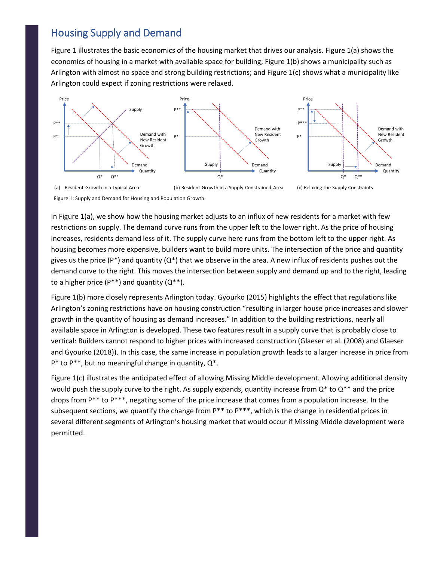## Housing Supply and Demand

Figure 1 illustrates the basic economics of the housing market that drives our analysis. Figure 1(a) shows the economics of housing in a market with available space for building; Figure 1(b) shows a municipality such as Arlington with almost no space and strong building restrictions; and Figure 1(c) shows what a municipality like Arlington could expect if zoning restrictions were relaxed.



Figure 1: Supply and Demand for Housing and Population Growth.

In Figure 1(a), we show how the housing market adjusts to an influx of new residents for a market with few restrictions on supply. The demand curve runs from the upper left to the lower right. As the price of housing increases, residents demand less of it. The supply curve here runs from the bottom left to the upper right. As housing becomes more expensive, builders want to build more units. The intersection of the price and quantity gives us the price (P\*) and quantity ( $Q^*$ ) that we observe in the area. A new influx of residents pushes out the demand curve to the right. This moves the intersection between supply and demand up and to the right, leading to a higher price  $(P^{**})$  and quantity  $(Q^{**})$ .

Figure 1(b) more closely represents Arlington today. Gyourko (2015) highlights the effect that regulations like Arlington's zoning restrictions have on housing construction "resulting in larger house price increases and slower growth in the quantity of housing as demand increases." In addition to the building restrictions, nearly all available space in Arlington is developed. These two features result in a supply curve that is probably close to vertical: Builders cannot respond to higher prices with increased construction (Glaeser et al. (2008) and Glaeser and Gyourko (2018)). In this case, the same increase in population growth leads to a larger increase in price from  $P^*$  to  $P^{**}$ , but no meaningful change in quantity,  $Q^*$ .

Figure 1(c) illustrates the anticipated effect of allowing Missing Middle development. Allowing additional density would push the supply curve to the right. As supply expands, quantity increase from  $Q^*$  to  $Q^{**}$  and the price drops from P\*\* to P\*\*\*, negating some of the price increase that comes from a population increase. In the subsequent sections, we quantify the change from  $P^{**}$  to  $P^{***}$ , which is the change in residential prices in several different segments of Arlington's housing market that would occur if Missing Middle development were permitted.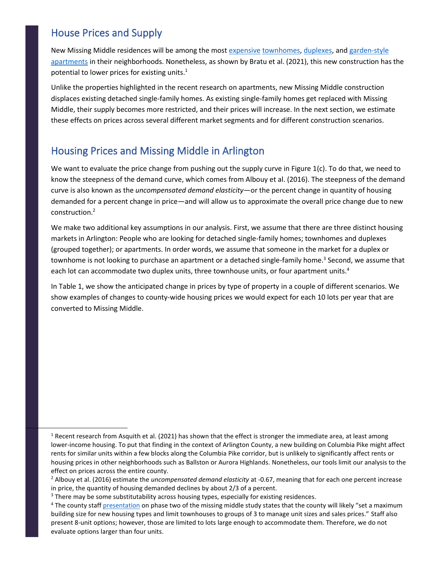## House Prices and Supply

New Missing Middle residences will be among the most expensive [town](https://arlington-analytics.com/papers/Model202002.pdf)[homes, duple](https://www.redfin.com/VA/Arlington/1132-N-Stuart-St-22201/home/114033544)[xes, and g](https://www.redfin.com/VA/Arlington/2023-N-Dinwiddie-St-22207/home/11236216)arden-style [apartments](https://www.redfin.com/VA/Arlington/1245-N-Pierce-St-22209/unit-11/home/148716077) in their neighborhoods. Nonetheless, as shown by Bratu et al. (2021), this new construction has the potential to lower prices for existing units.<sup>1</sup>

Unlike the properties highlighted in the recent research on apartments, new Missing Middle construction displaces existing detached single-family homes. As existing single-family homes get replaced with Missing Middle, their supply becomes more restricted, and their prices will increase. In the next section, we estimate these effects on prices across several different market segments and for different construction scenarios.

## Housing Prices and Missing Middle in Arlington

We want to evaluate the price change from pushing out the supply curve in Figure  $1(c)$ . To do that, we need to know the steepness of the demand curve, which comes from Albouy et al. (2016). The steepness of the demand curve is also known as the *uncompensated demand elasticity*—or the percent change in quantity of housing demanded for a percent change in price—and will allow us to approximate the overall price change due to new construction. 2

We make two additional key assumptions in our analysis. First, we assume that there are three distinct housing markets in Arlington: People who are looking for detached single-family homes; townhomes and duplexes (grouped together); or apartments. In order words, we assume that someone in the market for a duplex or townhome is not looking to purchase an apartment or a detached single-family home.<sup>3</sup> Second, we assume that each lot can accommodate two duplex units, three townhouse units, or four apartment units.<sup>4</sup>

In Table 1, we show the anticipated change in prices by type of property in a couple of different scenarios. We show examples of changes to county-wide housing prices we would expect for each 10 lots per year that are converted to Missing Middle.

 $1$  Recent research from Asquith et al. (2021) has shown that the effect is stronger the immediate area, at least among lower-income housing. To put that finding in the context of Arlington County, a new building on Columbia Pike might affect rents for similar units within a few blocks along the Columbia Pike corridor, but is unlikely to significantly affect rents or housing prices in other neighborhoods such as Ballston or Aurora Highlands. Nonetheless, our tools limit our analysis to the effect on prices across the entire county.

<sup>2</sup> Albouy et al. (2016) estimate the *uncompensated demand elasticity* at -0.67, meaning that for each one percent increase in price, the quantity of housing demanded declines by about 2/3 of a percent.

<sup>&</sup>lt;sup>3</sup> There may be some substitutability across housing types, especially for existing residences.

<sup>&</sup>lt;sup>4</sup> The county staf[f presentation](https://www.arlingtonva.us/files/sharedassets/public/housing/documents/missing-middle/mmhs-phase-2-public-presentation_final_04.28.pdf) on phase two of the missing middle study states that the county will likely "set a maximum building size for new housing types and limit townhouses to groups of 3 to manage unit sizes and sales prices." Staff also present 8-unit options; however, those are limited to lots large enough to accommodate them. Therefore, we do not evaluate options larger than four units.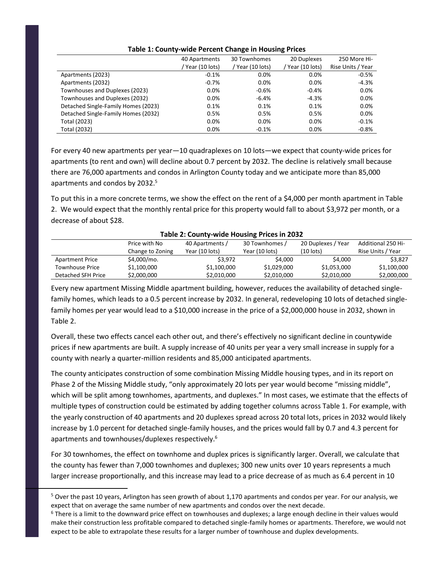|                                     | 40 Apartments  | 30 Townhomes     | 20 Duplexes    | 250 More Hi-      |
|-------------------------------------|----------------|------------------|----------------|-------------------|
|                                     | Year (10 lots) | / Year (10 lots) | Year (10 lots) | Rise Units / Year |
| Apartments (2023)                   | $-0.1%$        | $0.0\%$          | 0.0%           | $-0.5%$           |
| Apartments (2032)                   | $-0.7%$        | $0.0\%$          | 0.0%           | $-4.3%$           |
| Townhouses and Duplexes (2023)      | $0.0\%$        | $-0.6%$          | $-0.4%$        | 0.0%              |
| Townhouses and Duplexes (2032)      | $0.0\%$        | $-6.4%$          | $-4.3%$        | 0.0%              |
| Detached Single-Family Homes (2023) | 0.1%           | 0.1%             | 0.1%           | 0.0%              |
| Detached Single-Family Homes (2032) | 0.5%           | 0.5%             | 0.5%           | 0.0%              |
| Total (2023)                        | $0.0\%$        | $0.0\%$          | 0.0%           | $-0.1%$           |
| Total (2032)                        | $0.0\%$        | $-0.1%$          | $0.0\%$        | $-0.8%$           |

#### **Table 1: County-wide Percent Change in Housing Prices**

For every 40 new apartments per year—10 quadraplexes on 10 lots—we expect that county-wide prices for apartments (to rent and own) will decline about 0.7 percent by 2032. The decline is relatively small because there are 76,000 apartments and condos in Arlington County today and we anticipate more than 85,000 apartments and condos by 2032.<sup>5</sup>

To put this in a more concrete terms, we show the effect on the rent of a \$4,000 per month apartment in Table 2. We would expect that the monthly rental price for this property would fall to about \$3,972 per month, or a decrease of about \$28.

|                        | Price with No    | 40 Apartments / | 30 Townhomes / | 20 Duplexes / Year | <b>Additional 250 Hi-</b> |  |  |
|------------------------|------------------|-----------------|----------------|--------------------|---------------------------|--|--|
|                        | Change to Zoning | Year (10 lots)  | Year (10 lots) | $(10$ lots)        | Rise Units / Year         |  |  |
| <b>Apartment Price</b> | \$4,000/mo.      | \$3.972         | \$4,000        | \$4,000            | \$3.827                   |  |  |
| <b>Townhouse Price</b> | \$1,100,000      | \$1,100,000     | \$1,029,000    | \$1,053,000        | \$1,100,000               |  |  |
| Detached SFH Price     | \$2,000,000      | \$2,010,000     | \$2,010,000    | \$2,010,000        | \$2,000,000               |  |  |

#### **Table 2: County-wide Housing Prices in 2032**

Every new apartment Missing Middle apartment building, however, reduces the availability of detached singlefamily homes, which leads to a 0.5 percent increase by 2032. In general, redeveloping 10 lots of detached singlefamily homes per year would lead to a \$10,000 increase in the price of a \$2,000,000 house in 2032, shown in Table 2.

Overall, these two effects cancel each other out, and there's effectively no significant decline in countywide prices if new apartments are built. A supply increase of 40 units per year a very small increase in supply for a county with nearly a quarter-million residents and 85,000 anticipated apartments.

The county anticipates construction of some combination Missing Middle housing types, and in its report on Phase 2 of the Missing Middle study, "only approximately 20 lots per year would become "missing middle", which will be split among townhomes, apartments, and duplexes." In most cases, we estimate that the effects of multiple types of construction could be estimated by adding together columns across Table 1. For example, with the yearly construction of 40 apartments and 20 duplexes spread across 20 total lots, prices in 2032 would likely increase by 1.0 percent for detached single-family houses, and the prices would fall by 0.7 and 4.3 percent for apartments and townhouses/duplexes respectively.<sup>6</sup>

For 30 townhomes, the effect on townhome and duplex prices is significantly larger. Overall, we calculate that the county has fewer than 7,000 townhomes and duplexes; 300 new units over 10 years represents a much larger increase proportionally, and this increase may lead to a price decrease of as much as 6.4 percent in 10

<sup>&</sup>lt;sup>5</sup> Over the past 10 years, Arlington has seen growth of about 1,170 apartments and condos per year. For our analysis, we expect that on average the same number of new apartments and condos over the next decade.

 $6$  There is a limit to the downward price effect on townhouses and duplexes; a large enough decline in their values would make their construction less profitable compared to detached single-family homes or apartments. Therefore, we would not expect to be able to extrapolate these results for a larger number of townhouse and duplex developments.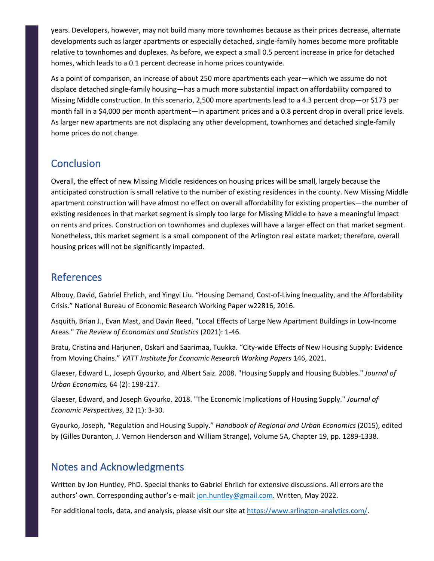years. Developers, however, may not build many more townhomes because as their prices decrease, alternate developments such as larger apartments or especially detached, single-family homes become more profitable relative to townhomes and duplexes. As before, we expect a small 0.5 percent increase in price for detached homes, which leads to a 0.1 percent decrease in home prices countywide.

As a point of comparison, an increase of about 250 more apartments each year—which we assume do not displace detached single-family housing—has a much more substantial impact on affordability compared to Missing Middle construction. In this scenario, 2,500 more apartments lead to a 4.3 percent drop—or \$173 per month fall in a \$4,000 per month apartment—in apartment prices and a 0.8 percent drop in overall price levels. As larger new apartments are not displacing any other development, townhomes and detached single-family home prices do not change.

## **Conclusion**

Overall, the effect of new Missing Middle residences on housing prices will be small, largely because the anticipated construction is small relative to the number of existing residences in the county. New Missing Middle apartment construction will have almost no effect on overall affordability for existing properties—the number of existing residences in that market segment is simply too large for Missing Middle to have a meaningful impact on rents and prices. Construction on townhomes and duplexes will have a larger effect on that market segment. Nonetheless, this market segment is a small component of the Arlington real estate market; therefore, overall housing prices will not be significantly impacted.

## References

Albouy, David, Gabriel Ehrlich, and Yingyi Liu. "Housing Demand, Cost-of-Living Inequality, and the Affordability Crisis." National Bureau of Economic Research Working Paper w22816, 2016.

Asquith, Brian J., Evan Mast, and Davin Reed. "Local Effects of Large New Apartment Buildings in Low-Income Areas." *The Review of Economics and Statistics* (2021): 1-46.

Bratu, Cristina and Harjunen, Oskari and Saarimaa, Tuukka. "City-wide Effects of New Housing Supply: Evidence from Moving Chains." *VATT Institute for Economic Research Working Papers* 146, 2021.

Glaeser, Edward L., Joseph Gyourko, and Albert Saiz. 2008. "Housing Supply and Housing Bubbles." *Journal of Urban Economics,* 64 (2): 198-217.

Glaeser, Edward, and Joseph Gyourko. 2018. "The Economic Implications of Housing Supply." *Journal of Economic Perspectives*, 32 (1): 3-30.

Gyourko, Joseph, "Regulation and Housing Supply." *Handbook of Regional and Urban Economics* (2015), edited by (Gilles Duranton, J. Vernon Henderson and William Strange), Volume 5A, Chapter 19, pp. 1289-1338.

## Notes and Acknowledgments

Written by Jon Huntley, PhD. Special thanks to Gabriel Ehrlich for extensive discussions. All errors are the authors' own. Corresponding author's e-mail[: jon.huntley@gmail.com.](mailto:jon.huntley@gmail.com) Written, May 2022.

For additional tools, data, and analysis, please visit our site at [https://www.arlington-analytics.com/.](https://www.arlington-analytics.com/)